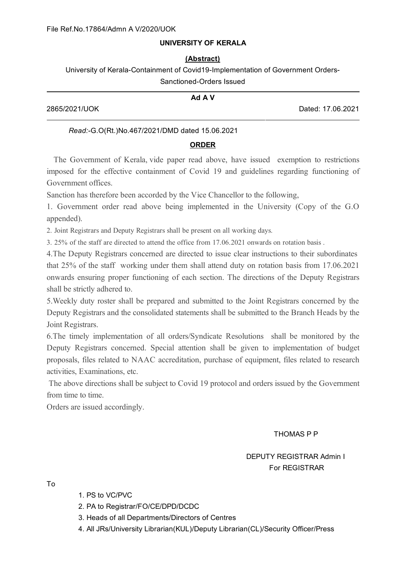# **UNIVERSITY OF KERALA**

### **(Abstract)**

University of Kerala-Containment of Covid19-Implementation of Government Orders-Sanctioned-Orders Issued

|               | Ad A V |                   |
|---------------|--------|-------------------|
| 2865/2021/UOK |        | Dated: 17.06.2021 |

## *Read:-*G.O(Rt.)No.467/2021/DMD dated 15.06.2021

### **ORDER**

The Government of Kerala, vide paper read above, have issued exemption to restrictions imposed for the effective containment of Covid 19 and guidelines regarding functioning of Government offices.

Sanction has therefore been accorded by the Vice Chancellor to the following,

1. Government order read above being implemented in the University (Copy of the G.O appended).

2. Joint Registrars and Deputy Registrars shall be present on all working days.

3. 25% of the staff are directed to attend the office from 17.06.2021 onwards on rotation basis .

4.The Deputy Registrars concerned are directed to issue clear instructions to their subordinates that 25% of the staff working under them shall attend duty on rotation basis from 17.06.2021 onwards ensuring proper functioning of each section. The directions of the Deputy Registrars shall be strictly adhered to.

5.Weekly duty roster shall be prepared and submitted to the Joint Registrars concerned by the Deputy Registrars and the consolidated statements shall be submitted to the Branch Heads by the Joint Registrars.

6.The timely implementation of all orders/Syndicate Resolutions shall be monitored by the Deputy Registrars concerned. Special attention shall be given to implementation of budget proposals, files related to NAAC accreditation, purchase of equipment, files related to research activities, Examinations, etc.

The above directions shall be subject to Covid 19 protocol and orders issued by the Government from time to time.

Orders are issued accordingly.

THOMAS P P

# DEPUTY REGISTRAR Admin I For REGISTRAR

To

- 1. PS to VC/PVC
- 2. PA to Registrar/FO/CE/DPD/DCDC
- 3. Heads of all Departments/Directors of Centres
- 4. All JRs/University Librarian(KUL)/Deputy Librarian(CL)/Security Officer/Press